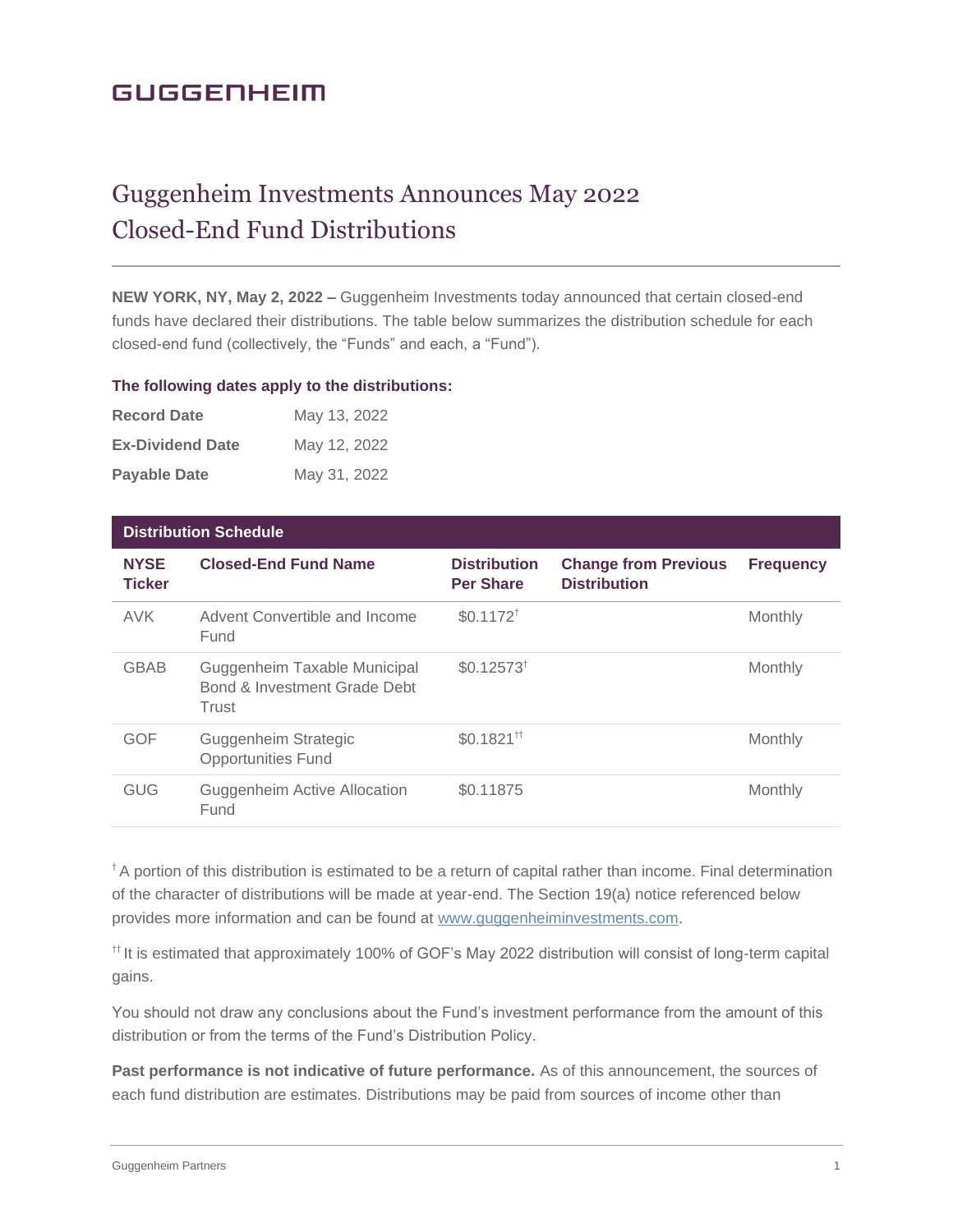# **GUGGENHEIM**

# Guggenheim Investments Announces May 2022 Closed-End Fund Distributions

**NEW YORK, NY, May 2, 2022 –** Guggenheim Investments today announced that certain closed-end funds have declared their distributions. The table below summarizes the distribution schedule for each closed-end fund (collectively, the "Funds" and each, a "Fund").

#### **The following dates apply to the distributions:**

| <b>Record Date</b>      | May 13, 2022 |
|-------------------------|--------------|
| <b>Ex-Dividend Date</b> | May 12, 2022 |
| <b>Payable Date</b>     | May 31, 2022 |

| <b>Distribution Schedule</b> |                                                                       |                                            |                                                    |                  |
|------------------------------|-----------------------------------------------------------------------|--------------------------------------------|----------------------------------------------------|------------------|
| <b>NYSE</b><br><b>Ticker</b> | <b>Closed-End Fund Name</b>                                           | <b>Distribution</b><br><b>Per Share</b>    | <b>Change from Previous</b><br><b>Distribution</b> | <b>Frequency</b> |
| <b>AVK</b>                   | Advent Convertible and Income<br>Fund                                 | $$0.1172^{\dagger}$                        |                                                    | Monthly          |
| <b>GBAB</b>                  | Guggenheim Taxable Municipal<br>Bond & Investment Grade Debt<br>Trust | $$0.12573^{\dagger}$                       |                                                    | Monthly          |
| <b>GOF</b>                   | Guggenheim Strategic<br><b>Opportunities Fund</b>                     | $$0.1821$ <sup><math>\text{†}</math></sup> |                                                    | Monthly          |
| <b>GUG</b>                   | Guggenheim Active Allocation<br>Fund                                  | \$0.11875                                  |                                                    | Monthly          |

<sup>†</sup> A portion of this distribution is estimated to be a return of capital rather than income. Final determination of the character of distributions will be made at year-end. The Section 19(a) notice referenced below provides more information and can be found at [www.guggenheiminvestments.com.](http://www.guggenheiminvestments.com/)

†† It is estimated that approximately 100% of GOF's May 2022 distribution will consist of long-term capital gains.

You should not draw any conclusions about the Fund's investment performance from the amount of this distribution or from the terms of the Fund's Distribution Policy.

**Past performance is not indicative of future performance.** As of this announcement, the sources of each fund distribution are estimates. Distributions may be paid from sources of income other than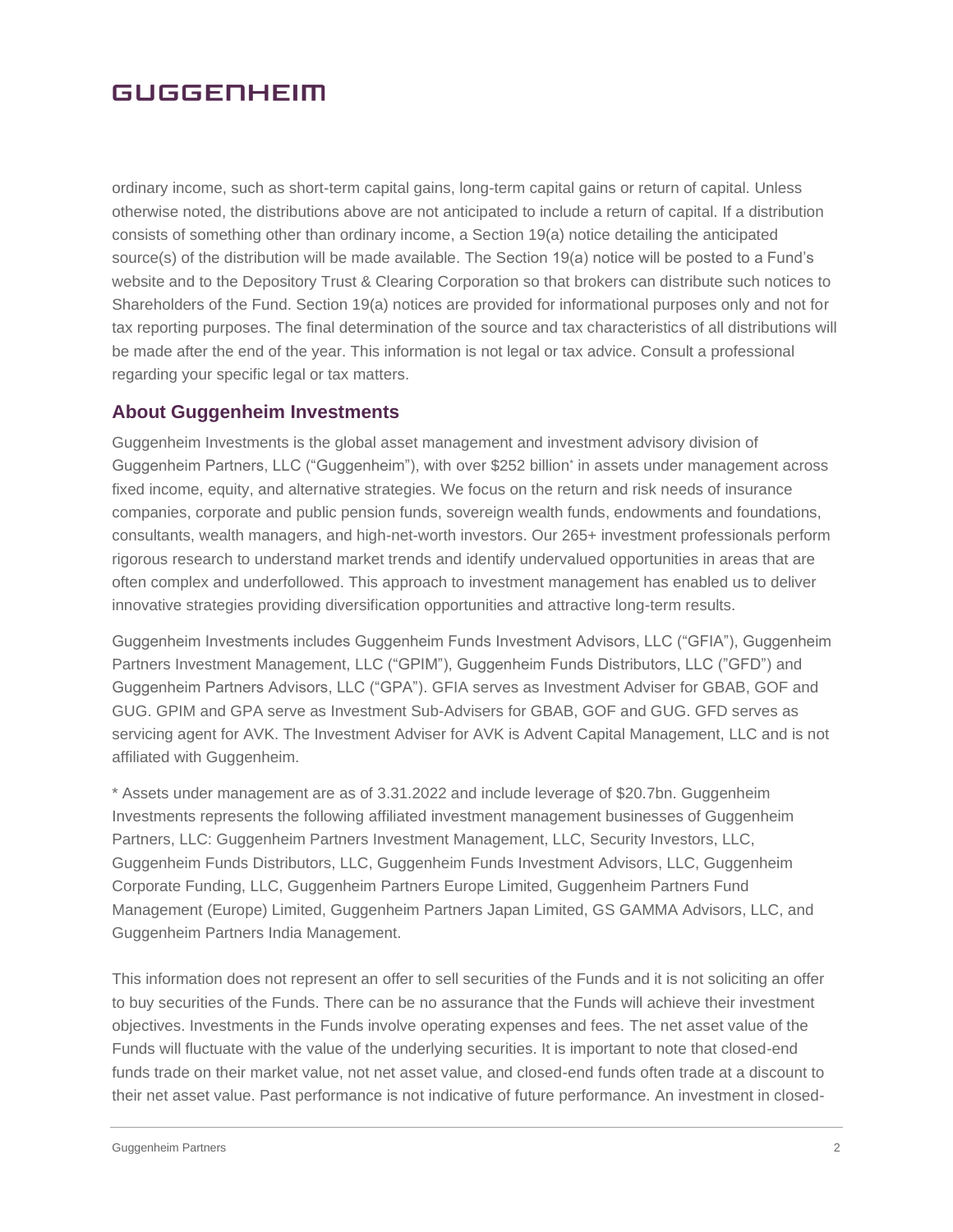### **GUGGENHEIM**

ordinary income, such as short-term capital gains, long-term capital gains or return of capital. Unless otherwise noted, the distributions above are not anticipated to include a return of capital. If a distribution consists of something other than ordinary income, a Section 19(a) notice detailing the anticipated source(s) of the distribution will be made available. The Section 19(a) notice will be posted to a Fund's website and to the Depository Trust & Clearing Corporation so that brokers can distribute such notices to Shareholders of the Fund. Section 19(a) notices are provided for informational purposes only and not for tax reporting purposes. The final determination of the source and tax characteristics of all distributions will be made after the end of the year. This information is not legal or tax advice. Consult a professional regarding your specific legal or tax matters.

### **About Guggenheim Investments**

Guggenheim Investments is the global asset management and investment advisory division of Guggenheim Partners, LLC ("Guggenheim"), with over \$252 billion\* in assets under management across fixed income, equity, and alternative strategies. We focus on the return and risk needs of insurance companies, corporate and public pension funds, sovereign wealth funds, endowments and foundations, consultants, wealth managers, and high-net-worth investors. Our 265+ investment professionals perform rigorous research to understand market trends and identify undervalued opportunities in areas that are often complex and underfollowed. This approach to investment management has enabled us to deliver innovative strategies providing diversification opportunities and attractive long-term results.

Guggenheim Investments includes Guggenheim Funds Investment Advisors, LLC ("GFIA"), Guggenheim Partners Investment Management, LLC ("GPIM"), Guggenheim Funds Distributors, LLC ("GFD") and Guggenheim Partners Advisors, LLC ("GPA"). GFIA serves as Investment Adviser for GBAB, GOF and GUG. GPIM and GPA serve as Investment Sub-Advisers for GBAB, GOF and GUG. GFD serves as servicing agent for AVK. The Investment Adviser for AVK is Advent Capital Management, LLC and is not affiliated with Guggenheim.

\* Assets under management are as of 3.31.2022 and include leverage of \$20.7bn. Guggenheim Investments represents the following affiliated investment management businesses of Guggenheim Partners, LLC: Guggenheim Partners Investment Management, LLC, Security Investors, LLC, Guggenheim Funds Distributors, LLC, Guggenheim Funds Investment Advisors, LLC, Guggenheim Corporate Funding, LLC, Guggenheim Partners Europe Limited, Guggenheim Partners Fund Management (Europe) Limited, Guggenheim Partners Japan Limited, GS GAMMA Advisors, LLC, and Guggenheim Partners India Management.

This information does not represent an offer to sell securities of the Funds and it is not soliciting an offer to buy securities of the Funds. There can be no assurance that the Funds will achieve their investment objectives. Investments in the Funds involve operating expenses and fees. The net asset value of the Funds will fluctuate with the value of the underlying securities. It is important to note that closed-end funds trade on their market value, not net asset value, and closed-end funds often trade at a discount to their net asset value. Past performance is not indicative of future performance. An investment in closed-